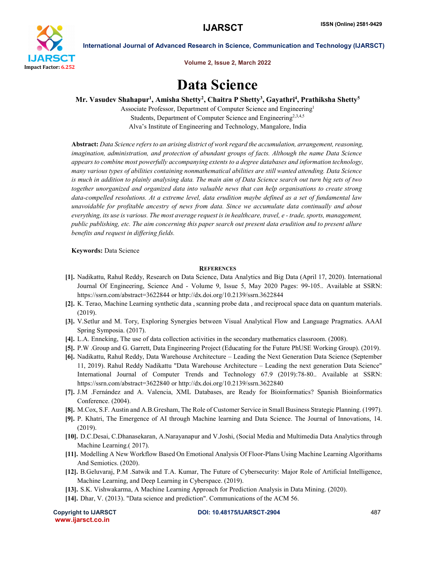

International Journal of Advanced Research in Science, Communication and Technology (IJARSCT)

Volume 2, Issue 2, March 2022

## Data Science

Mr. Vasudev Shahapur<sup>1</sup>, Amisha Shetty<sup>2</sup>, Chaitra P Shetty<sup>3</sup>, Gayathri<sup>4</sup>, Prathiksha Shetty<sup>5</sup>

Associate Professor, Department of Computer Science and Engineering1 Students, Department of Computer Science and Engineering<sup>2,3,4,5</sup> Alva's Institute of Engineering and Technology, Mangalore, India

Abstract: *Data Science refers to an arising district of work regard the accumulation, arrangement, reasoning, imagination, administration, and protection of abundant groups of facts. Although the name Data Science appears to combine most powerfully accompanying extents to a degree databases and information technology, many various types of abilities containing nonmathematical abilities are still wanted attending. Data Science is much in addition to plainly analysing data. The main aim of Data Science search out turn big sets of two together unorganized and organized data into valuable news that can help organisations to create strong data-compelled resolutions. At a extreme level, data erudition maybe defined as a set of fundamental law unavoidable for profitable ancestry of news from data. Since we accumulate data continually and about everything, its use is various. The most average request is in healthcare, travel, e - trade, sports, management, public publishing, etc. The aim concerning this paper search out present data erudition and to present allure benefits and request in differing fields.*

Keywords: Data Science

## **REFERENCES**

- [1]. Nadikattu, Rahul Reddy, Research on Data Science, Data Analytics and Big Data (April 17, 2020). International Journal Of Engineering, Science And - Volume 9, Issue 5, May 2020 Pages: 99-105.. Available at SSRN: https://ssrn.com/abstract=3622844 or http://dx.doi.org/10.2139/ssrn.3622844
- [2]. K. Terao, Machine Learning synthetic data , scanning probe data , and reciprocal space data on quantum materials. (2019).
- [3]. V.Setlur and M. Tory, Exploring Synergies between Visual Analytical Flow and Language Pragmatics. AAAI Spring Symposia. (2017).
- [4]. L.A. Enneking, The use of data collection activities in the secondary mathematics classroom. (2008).
- [5]. P.W .Group and G. Garrett, Data Engineering Project (Educating for the Future PhUSE Working Group). (2019).
- [6]. Nadikattu, Rahul Reddy, Data Warehouse Architecture Leading the Next Generation Data Science (September 11, 2019). Rahul Reddy Nadikattu "Data Warehouse Architecture – Leading the next generation Data Science" International Journal of Computer Trends and Technology 67.9 (2019):78-80.. Available at SSRN: https://ssrn.com/abstract=3622840 or http://dx.doi.org/10.2139/ssrn.3622840
- [7]. J.M .Fernández and A. Valencia, XML Databases, are Ready for Bioinformatics? Spanish Bioinformatics Conference. (2004).
- [8]. M.Cox, S.F. Austin and A.B.Gresham, The Role of Customer Service in Small Business Strategic Planning. (1997).
- [9]. P. Khatri, The Emergence of AI through Machine learning and Data Science. The Journal of Innovations, 14. (2019).
- [10]. D.C.Desai, C.Dhanasekaran, A.Narayanapur and V.Joshi, (Social Media and Multimedia Data Analytics through Machine Learning.( 2017).
- [11]. Modelling A New Workflow Based On Emotional Analysis Of Floor-Plans Using Machine Learning Algorithams And Semiotics. (2020).
- [12]. B.Geluvaraj, P.M .Satwik and T.A. Kumar, The Future of Cybersecurity: Major Role of Artificial Intelligence, Machine Learning, and Deep Learning in Cyberspace. (2019).
- [13]. S.K. Vishwakarma, A Machine Learning Approach for Prediction Analysis in Data Mining. (2020).
- [14]. Dhar, V. (2013). "Data science and prediction". Communications of the ACM 56.

www.ijarsct.co.in

Copyright to IJARSCT DOI: 10.48175/IJARSCT-2904 487